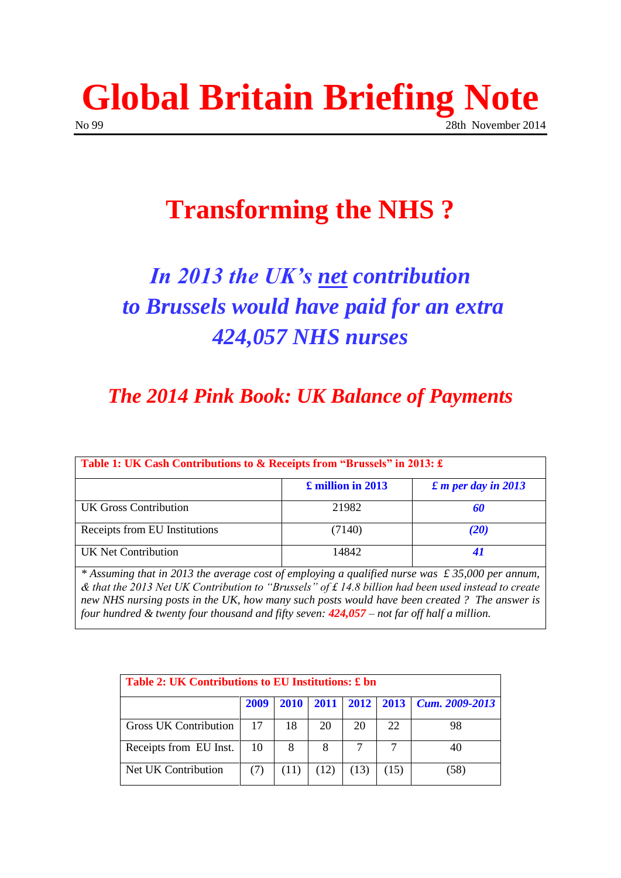

## **Transforming the NHS ?**

# *In 2013 the UK's net contribution to Brussels would have paid for an extra 424,057 NHS nurses*

## *The 2014 Pink Book: UK Balance of Payments*

| Table 1: UK Cash Contributions to & Receipts from "Brussels" in 2013: £ |                   |                                    |  |  |  |
|-------------------------------------------------------------------------|-------------------|------------------------------------|--|--|--|
|                                                                         | £ million in 2013 | $\pounds$ <i>m</i> per day in 2013 |  |  |  |
| UK Gross Contribution                                                   | 21982             | 60                                 |  |  |  |
| Receipts from EU Institutions                                           | (7140)            | <b>(20)</b>                        |  |  |  |
| UK Net Contribution                                                     | 14842             | 41                                 |  |  |  |

*\* Assuming that in 2013 the average cost of employing a qualified nurse was £ 35,000 per annum, & that the 2013 Net UK Contribution to "Brussels" of £ 14.8 billion had been used instead to create new NHS nursing posts in the UK, how many such posts would have been created ? The answer is four hundred & twenty four thousand and fifty seven: 424,057 – not far off half a million.* 

| Table 2: UK Contributions to EU Institutions: £ bn |      |      |      |      |      |                          |  |
|----------------------------------------------------|------|------|------|------|------|--------------------------|--|
|                                                    | 2009 | 2010 | 2011 |      |      | 2012 2013 Cum. 2009-2013 |  |
| Gross UK Contribution                              | 17   | 18   | 20   | 20   | 22   | 98                       |  |
| Receipts from EU Inst.                             | 10   | 8    | 8    |      |      | 40                       |  |
| Net UK Contribution                                |      | (11) | (12) | (13) | (15) | 38)                      |  |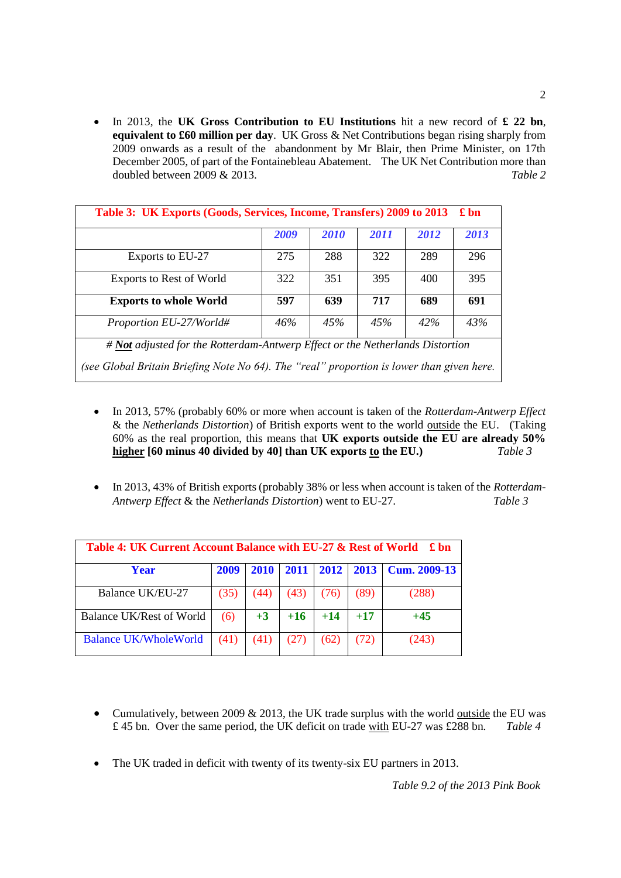In 2013, the **UK Gross Contribution to EU Institutions** hit a new record of **£ 22 bn**, **equivalent to £60 million per day**. UK Gross & Net Contributions began rising sharply from 2009 onwards as a result of the abandonment by Mr Blair, then Prime Minister, on 17th December 2005, of part of the Fontainebleau Abatement. The UK Net Contribution more than doubled between 2009 & 2013. *Table 2*

| Table 3: UK Exports (Goods, Services, Income, Transfers) 2009 to 2013<br>$\pounds$ bn     |      |      |      |      |      |
|-------------------------------------------------------------------------------------------|------|------|------|------|------|
|                                                                                           | 2009 | 2010 | 2011 | 2012 | 2013 |
| Exports to EU-27                                                                          | 275  | 288  | 322  | 289  | 296  |
| <b>Exports to Rest of World</b>                                                           | 322  | 351  | 395  | 400  | 395  |
| <b>Exports to whole World</b>                                                             | 597  | 639  | 717  | 689  | 691  |
| Proportion EU-27/World#                                                                   | 46%  | 45%  | 45%  | 42%  | 43%  |
| # Not adjusted for the Rotterdam-Antwerp Effect or the Netherlands Distortion             |      |      |      |      |      |
| (see Global Britain Briefing Note No 64). The "real" proportion is lower than given here. |      |      |      |      |      |

- In 2013, 57% (probably 60% or more when account is taken of the *Rotterdam-Antwerp Effect* & the *Netherlands Distortion*) of British exports went to the world outside the EU. (Taking 60% as the real proportion, this means that **UK exports outside the EU are already 50% higher [60 minus 40 divided by 40] than UK exports to the EU.)** *Table 3*
- In 2013, 43% of British exports (probably 38% or less when account is taken of the *Rotterdam*-*Antwerp Effect* & the *Netherlands Distortion*) went to EU-27. *Table 3*

| Table 4: UK Current Account Balance with EU-27 & Rest of World ↓ 5 bn |      |             |       |       |       |                            |
|-----------------------------------------------------------------------|------|-------------|-------|-------|-------|----------------------------|
| Year                                                                  | 2009 | <b>2010</b> | 2011  |       |       | 2012   2013   Cum. 2009-13 |
| Balance UK/EU-27                                                      | (35) | (44)        | (43)  | (76)  | (89)  | (288)                      |
| <b>Balance UK/Rest of World</b>                                       | (6)  | $+3$        | $+16$ | $+14$ | $+17$ | $+45$                      |
| <b>Balance UK/WholeWorld</b>                                          | (41) | (41)        | (27)  | (62)  | (72)  | (243)                      |

- Cumulatively, between 2009  $& 2013$ , the UK trade surplus with the world outside the EU was £ 45 bn. Over the same period, the UK deficit on trade with EU-27 was £288 bn. *Table 4*
- The UK traded in deficit with twenty of its twenty-six EU partners in 2013.

2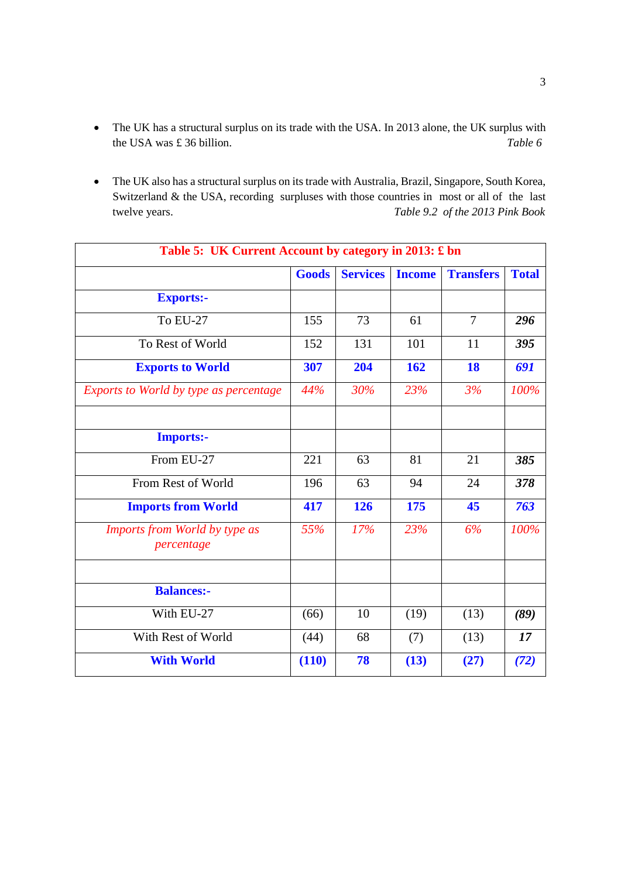- The UK has a structural surplus on its trade with the USA. In 2013 alone, the UK surplus with the USA was £ 36 billion. *Table 6*
- The UK also has a structural surplus on its trade with Australia, Brazil, Singapore, South Korea, Switzerland & the USA, recording surpluses with those countries in most or all of the last twelve years. *Table 9.2 of the 2013 Pink Book*

| Table 5: UK Current Account by category in 2013: £ bn |              |                 |               |                  |              |  |
|-------------------------------------------------------|--------------|-----------------|---------------|------------------|--------------|--|
|                                                       | <b>Goods</b> | <b>Services</b> | <b>Income</b> | <b>Transfers</b> | <b>Total</b> |  |
| <b>Exports:-</b>                                      |              |                 |               |                  |              |  |
| <b>To EU-27</b>                                       | 155          | 73              | 61            | $\overline{7}$   | 296          |  |
| To Rest of World                                      | 152          | 131             | 101           | 11               | 395          |  |
| <b>Exports to World</b>                               | 307          | 204             | 162           | 18               | 691          |  |
| Exports to World by type as percentage                | 44%          | 30%             | 23%           | 3%               | 100%         |  |
|                                                       |              |                 |               |                  |              |  |
| <b>Imports:-</b>                                      |              |                 |               |                  |              |  |
| From EU-27                                            | 221          | 63              | 81            | 21               | 385          |  |
| From Rest of World                                    | 196          | 63              | 94            | 24               | 378          |  |
| <b>Imports from World</b>                             | 417          | 126             | 175           | 45               | 763          |  |
| Imports from World by type as<br>percentage           | 55%          | 17%             | 23%           | 6%               | 100%         |  |
|                                                       |              |                 |               |                  |              |  |
| <b>Balances:-</b>                                     |              |                 |               |                  |              |  |
| With EU-27                                            | (66)         | 10              | (19)          | (13)             | (89)         |  |
| With Rest of World                                    | (44)         | 68              | (7)           | (13)             | 17           |  |
| <b>With World</b>                                     | (110)        | 78              | (13)          | (27)             | (72)         |  |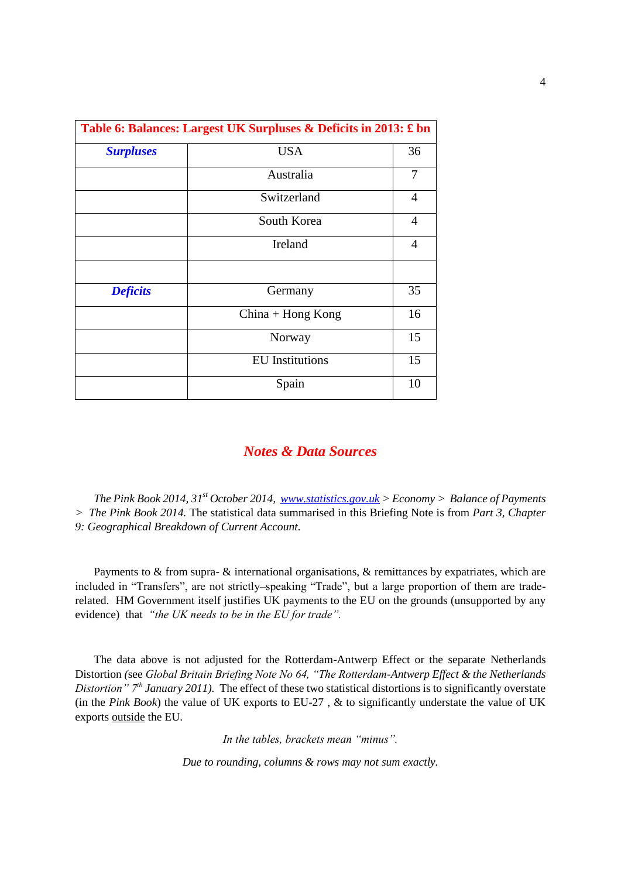| Table 6: Balances: Largest UK Surpluses & Deficits in 2013: £ bn |                        |                |  |  |
|------------------------------------------------------------------|------------------------|----------------|--|--|
| <b>Surpluses</b>                                                 | <b>USA</b>             | 36             |  |  |
|                                                                  | Australia              | 7              |  |  |
|                                                                  | Switzerland            | $\overline{4}$ |  |  |
|                                                                  | South Korea            | 4              |  |  |
|                                                                  | Ireland                | $\overline{4}$ |  |  |
|                                                                  |                        |                |  |  |
| <b>Deficits</b>                                                  | Germany                | 35             |  |  |
|                                                                  | $China + Hong Kong$    | 16             |  |  |
|                                                                  | Norway                 | 15             |  |  |
|                                                                  | <b>EU</b> Institutions | 15             |  |  |
|                                                                  | Spain                  | 10             |  |  |

#### *Notes & Data Sources*

*The Pink Book 2014, 31st October 2014, [www.statistics.gov.uk](http://www.statistics.gov.uk/) > Economy > Balance of Payments > The Pink Book 2014.* The statistical data summarised in this Briefing Note is from *Part 3, Chapter 9: Geographical Breakdown of Current Account.* 

Payments to & from supra- & international organisations, & remittances by expatriates, which are included in "Transfers", are not strictly–speaking "Trade", but a large proportion of them are traderelated. HM Government itself justifies UK payments to the EU on the grounds (unsupported by any evidence) that *"the UK needs to be in the EU for trade".*

The data above is not adjusted for the Rotterdam-Antwerp Effect or the separate Netherlands Distortion *(*see *Global Britain Briefing Note No 64, "The Rotterdam-Antwerp Effect & the Netherlands Distortion" 7th January 2011).* The effect of these two statistical distortions is to significantly overstate (in the *Pink Book*) the value of UK exports to EU-27 , & to significantly understate the value of UK exports outside the EU.

*In the tables, brackets mean "minus".* 

*Due to rounding, columns & rows may not sum exactly.*